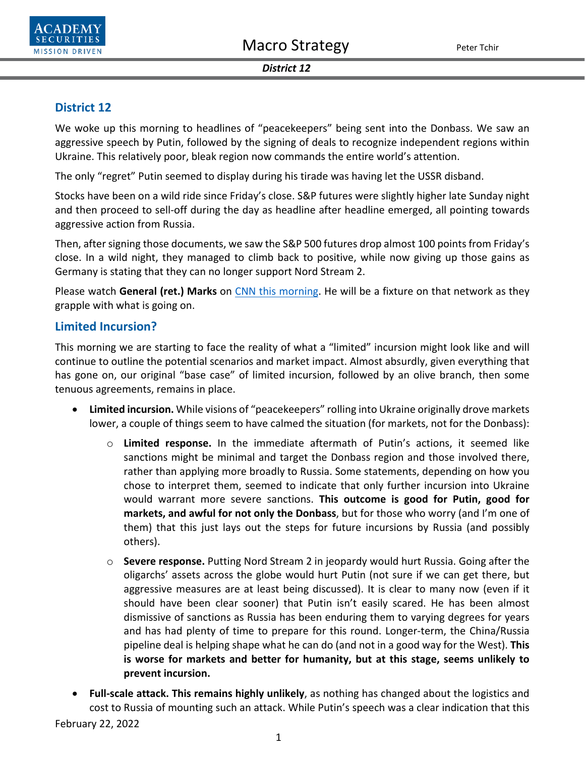



#### *District 12*

# **District 12**

We woke up this morning to headlines of "peacekeepers" being sent into the Donbass. We saw an aggressive speech by Putin, followed by the signing of deals to recognize independent regions within Ukraine. This relatively poor, bleak region now commands the entire world's attention.

The only "regret" Putin seemed to display during his tirade was having let the USSR disband.

Stocks have been on a wild ride since Friday's close. S&P futures were slightly higher late Sunday night and then proceed to sell-off during the day as headline after headline emerged, all pointing towards aggressive action from Russia.

Then, after signing those documents, we saw the S&P 500 futures drop almost 100 points from Friday's close. In a wild night, they managed to climb back to positive, while now giving up those gains as Germany is stating that they can no longer support Nord Stream 2.

Please watch General (ret.) Marks on [CNN this morning.](https://video.snapstream.net/Play/3TG0yFDklWQAwdI3Gq80ct?accessToken=dy2r13i225bdh) He will be a fixture on that network as they grapple with what is going on.

## **Limited Incursion?**

This morning we are starting to face the reality of what a "limited" incursion might look like and will continue to outline the potential scenarios and market impact. Almost absurdly, given everything that has gone on, our original "base case" of limited incursion, followed by an olive branch, then some tenuous agreements, remains in place.

- **Limited incursion.** While visions of "peacekeepers" rolling into Ukraine originally drove markets lower, a couple of things seem to have calmed the situation (for markets, not for the Donbass):
	- o **Limited response.** In the immediate aftermath of Putin's actions, it seemed like sanctions might be minimal and target the Donbass region and those involved there, rather than applying more broadly to Russia. Some statements, depending on how you chose to interpret them, seemed to indicate that only further incursion into Ukraine would warrant more severe sanctions. **This outcome is good for Putin, good for markets, and awful for not only the Donbass**, but for those who worry (and I'm one of them) that this just lays out the steps for future incursions by Russia (and possibly others).
	- o **Severe response.** Putting Nord Stream 2 in jeopardy would hurt Russia. Going after the oligarchs' assets across the globe would hurt Putin (not sure if we can get there, but aggressive measures are at least being discussed). It is clear to many now (even if it should have been clear sooner) that Putin isn't easily scared. He has been almost dismissive of sanctions as Russia has been enduring them to varying degrees for years and has had plenty of time to prepare for this round. Longer-term, the China/Russia pipeline deal is helping shape what he can do (and not in a good way for the West). **This is worse for markets and better for humanity, but at this stage, seems unlikely to prevent incursion.**
- **Full-scale attack. This remains highly unlikely**, as nothing has changed about the logistics and cost to Russia of mounting such an attack. While Putin's speech was a clear indication that this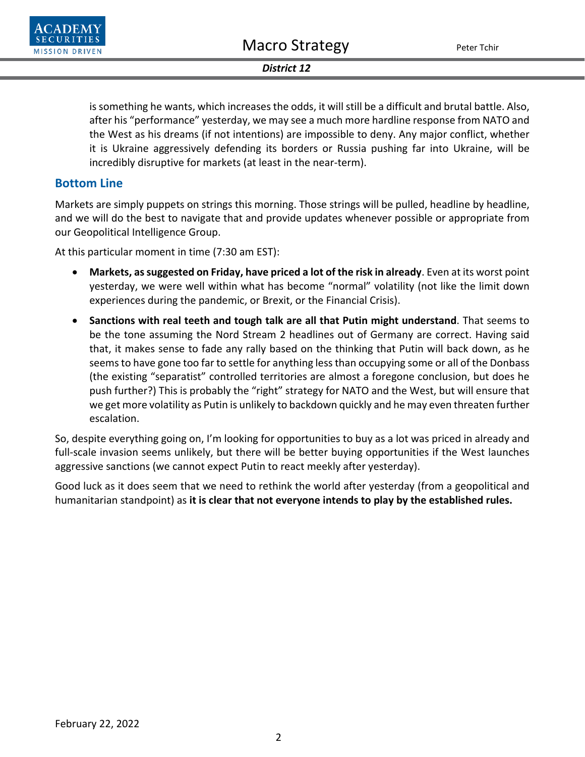

### *District 12*

is something he wants, which increases the odds, it will still be a difficult and brutal battle. Also, after his "performance" yesterday, we may see a much more hardline response from NATO and the West as his dreams (if not intentions) are impossible to deny. Any major conflict, whether it is Ukraine aggressively defending its borders or Russia pushing far into Ukraine, will be incredibly disruptive for markets (at least in the near-term).

# **Bottom Line**

Markets are simply puppets on strings this morning. Those strings will be pulled, headline by headline, and we will do the best to navigate that and provide updates whenever possible or appropriate from our Geopolitical Intelligence Group.

At this particular moment in time (7:30 am EST):

- **Markets, as suggested on Friday, have priced a lot of the risk in already**. Even at its worst point yesterday, we were well within what has become "normal" volatility (not like the limit down experiences during the pandemic, or Brexit, or the Financial Crisis).
- **Sanctions with real teeth and tough talk are all that Putin might understand**. That seems to be the tone assuming the Nord Stream 2 headlines out of Germany are correct. Having said that, it makes sense to fade any rally based on the thinking that Putin will back down, as he seems to have gone too far to settle for anything less than occupying some or all of the Donbass (the existing "separatist" controlled territories are almost a foregone conclusion, but does he push further?) This is probably the "right" strategy for NATO and the West, but will ensure that we get more volatility as Putin is unlikely to backdown quickly and he may even threaten further escalation.

So, despite everything going on, I'm looking for opportunities to buy as a lot was priced in already and full-scale invasion seems unlikely, but there will be better buying opportunities if the West launches aggressive sanctions (we cannot expect Putin to react meekly after yesterday).

Good luck as it does seem that we need to rethink the world after yesterday (from a geopolitical and humanitarian standpoint) as **it is clear that not everyone intends to play by the established rules.**